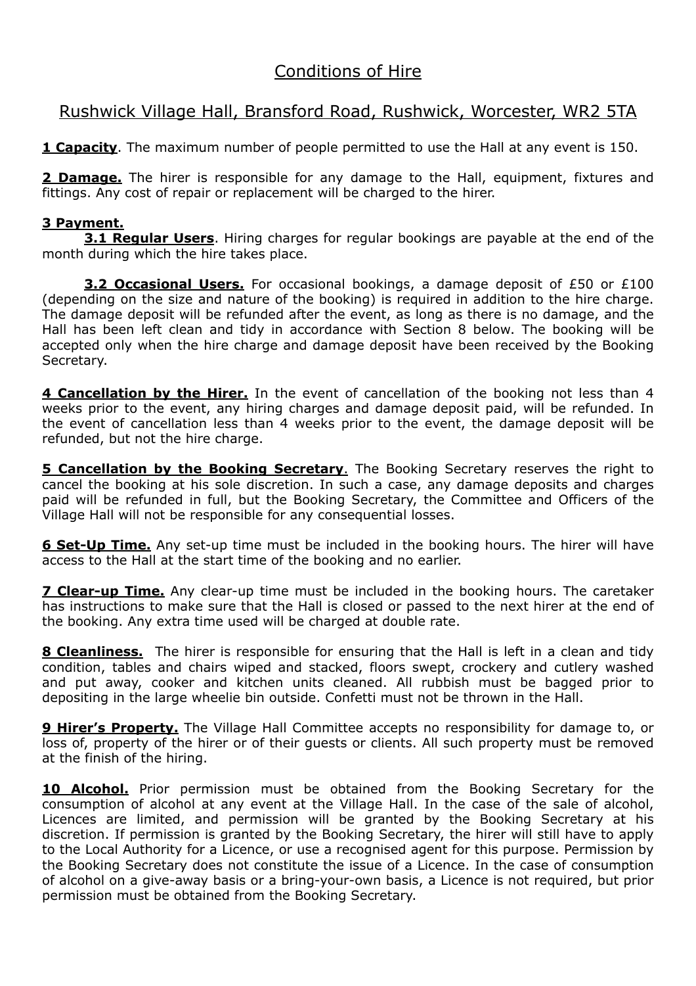## Conditions of Hire

## Rushwick Village Hall, Bransford Road, Rushwick, Worcester, WR2 5TA

**1 Capacity**. The maximum number of people permitted to use the Hall at any event is 150.

**2 Damage.** The hirer is responsible for any damage to the Hall, equipment, fixtures and fittings. Any cost of repair or replacement will be charged to the hirer.

## **3 Payment.**

**3.1 Regular Users**. Hiring charges for regular bookings are payable at the end of the month during which the hire takes place.

**3.2 Occasional Users.** For occasional bookings, a damage deposit of £50 or £100 (depending on the size and nature of the booking) is required in addition to the hire charge. The damage deposit will be refunded after the event, as long as there is no damage, and the Hall has been left clean and tidy in accordance with Section 8 below. The booking will be accepted only when the hire charge and damage deposit have been received by the Booking Secretary.

**4 Cancellation by the Hirer.** In the event of cancellation of the booking not less than 4 weeks prior to the event, any hiring charges and damage deposit paid, will be refunded. In the event of cancellation less than 4 weeks prior to the event, the damage deposit will be refunded, but not the hire charge.

**5 Cancellation by the Booking Secretary**. The Booking Secretary reserves the right to cancel the booking at his sole discretion. In such a case, any damage deposits and charges paid will be refunded in full, but the Booking Secretary, the Committee and Officers of the Village Hall will not be responsible for any consequential losses.

**6 Set-Up Time.** Any set-up time must be included in the booking hours. The hirer will have access to the Hall at the start time of the booking and no earlier.

**7 Clear-up Time.** Any clear-up time must be included in the booking hours. The caretaker has instructions to make sure that the Hall is closed or passed to the next hirer at the end of the booking. Any extra time used will be charged at double rate.

**8 Cleanliness.** The hirer is responsible for ensuring that the Hall is left in a clean and tidy condition, tables and chairs wiped and stacked, floors swept, crockery and cutlery washed and put away, cooker and kitchen units cleaned. All rubbish must be bagged prior to depositing in the large wheelie bin outside. Confetti must not be thrown in the Hall.

**9 Hirer's Property.** The Village Hall Committee accepts no responsibility for damage to, or loss of, property of the hirer or of their guests or clients. All such property must be removed at the finish of the hiring.

**10 Alcohol.** Prior permission must be obtained from the Booking Secretary for the consumption of alcohol at any event at the Village Hall. In the case of the sale of alcohol, Licences are limited, and permission will be granted by the Booking Secretary at his discretion. If permission is granted by the Booking Secretary, the hirer will still have to apply to the Local Authority for a Licence, or use a recognised agent for this purpose. Permission by the Booking Secretary does not constitute the issue of a Licence. In the case of consumption of alcohol on a give-away basis or a bring-your-own basis, a Licence is not required, but prior permission must be obtained from the Booking Secretary.